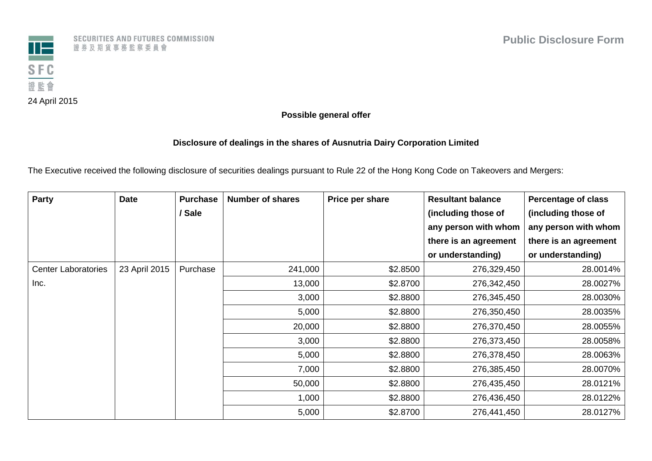

**Possible general offer**

## **Disclosure of dealings in the shares of Ausnutria Dairy Corporation Limited**

The Executive received the following disclosure of securities dealings pursuant to Rule 22 of the Hong Kong Code on Takeovers and Mergers:

| <b>Party</b>               | <b>Date</b>   | <b>Purchase</b> | <b>Number of shares</b> | Price per share | <b>Resultant balance</b> | <b>Percentage of class</b> |
|----------------------------|---------------|-----------------|-------------------------|-----------------|--------------------------|----------------------------|
|                            |               | / Sale          |                         |                 | (including those of      | (including those of        |
|                            |               |                 |                         |                 | any person with whom     | any person with whom       |
|                            |               |                 |                         |                 | there is an agreement    | there is an agreement      |
|                            |               |                 |                         |                 | or understanding)        | or understanding)          |
| <b>Center Laboratories</b> | 23 April 2015 | Purchase        | 241,000                 | \$2.8500        | 276,329,450              | 28.0014%                   |
| Inc.                       |               |                 | 13,000                  | \$2.8700        | 276,342,450              | 28.0027%                   |
|                            |               |                 | 3,000                   | \$2.8800        | 276,345,450              | 28.0030%                   |
|                            |               |                 | 5,000                   | \$2.8800        | 276,350,450              | 28.0035%                   |
|                            |               |                 | 20,000                  | \$2.8800        | 276,370,450              | 28.0055%                   |
|                            |               |                 | 3,000                   | \$2.8800        | 276,373,450              | 28.0058%                   |
|                            |               |                 | 5,000                   | \$2.8800        | 276,378,450              | 28.0063%                   |
|                            |               |                 | 7,000                   | \$2.8800        | 276,385,450              | 28.0070%                   |
|                            |               |                 | 50,000                  | \$2.8800        | 276,435,450              | 28.0121%                   |
|                            |               |                 | 1,000                   | \$2.8800        | 276,436,450              | 28.0122%                   |
|                            |               |                 | 5,000                   | \$2.8700        | 276,441,450              | 28.0127%                   |